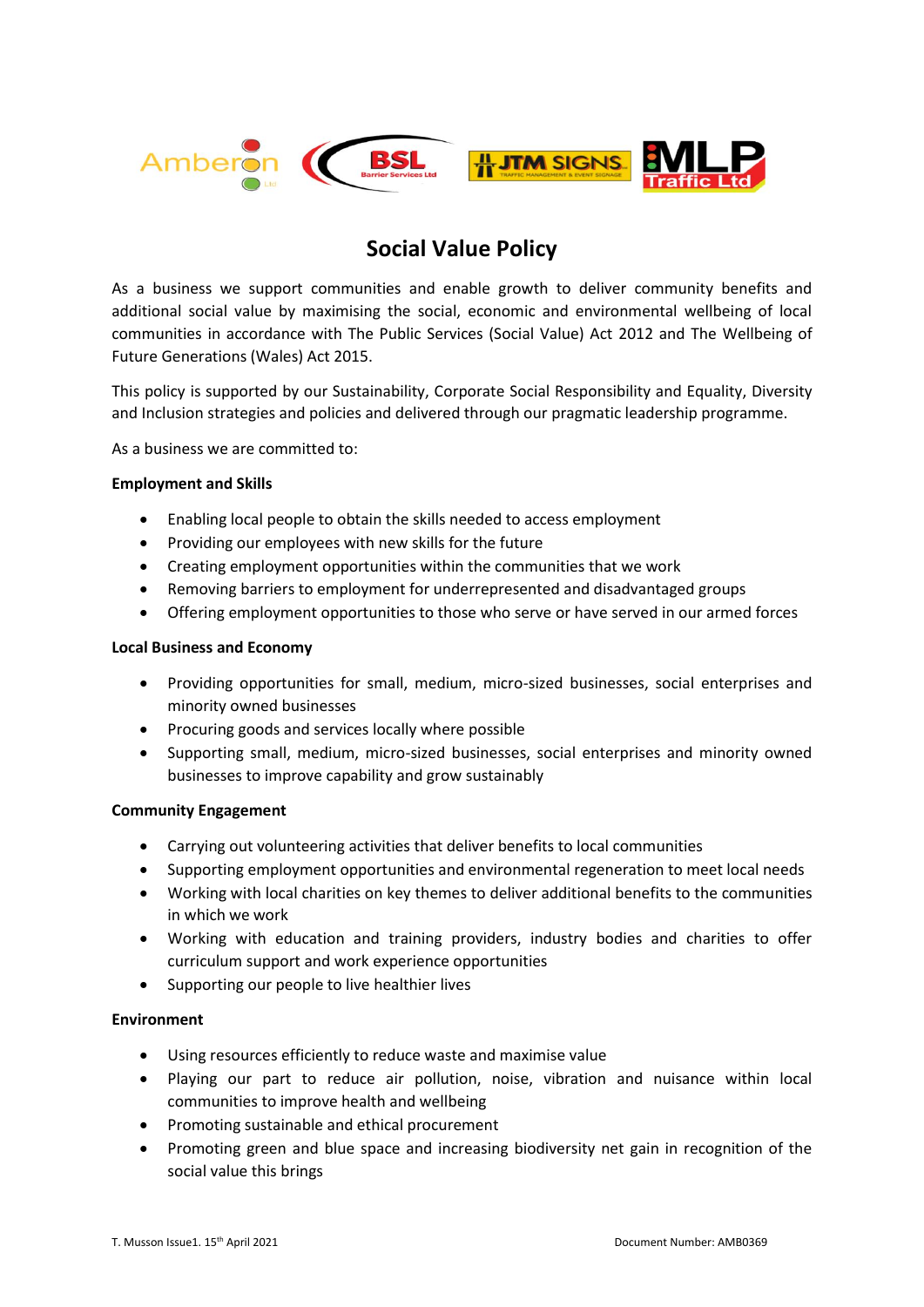

# **Social Value Policy**

As a business we support communities and enable growth to deliver community benefits and additional social value by maximising the social, economic and environmental wellbeing of local communities in accordance with The Public Services (Social Value) Act 2012 and The Wellbeing of Future Generations (Wales) Act 2015.

This policy is supported by our Sustainability, Corporate Social Responsibility and Equality, Diversity and Inclusion strategies and policies and delivered through our pragmatic leadership programme.

As a business we are committed to:

## **Employment and Skills**

- Enabling local people to obtain the skills needed to access employment
- Providing our employees with new skills for the future
- Creating employment opportunities within the communities that we work
- Removing barriers to employment for underrepresented and disadvantaged groups
- Offering employment opportunities to those who serve or have served in our armed forces

# **Local Business and Economy**

- Providing opportunities for small, medium, micro-sized businesses, social enterprises and minority owned businesses
- Procuring goods and services locally where possible
- Supporting small, medium, micro-sized businesses, social enterprises and minority owned businesses to improve capability and grow sustainably

#### **Community Engagement**

- Carrying out volunteering activities that deliver benefits to local communities
- Supporting employment opportunities and environmental regeneration to meet local needs
- Working with local charities on key themes to deliver additional benefits to the communities in which we work
- Working with education and training providers, industry bodies and charities to offer curriculum support and work experience opportunities
- Supporting our people to live healthier lives

# **Environment**

- Using resources efficiently to reduce waste and maximise value
- Playing our part to reduce air pollution, noise, vibration and nuisance within local communities to improve health and wellbeing
- Promoting sustainable and ethical procurement
- Promoting green and blue space and increasing biodiversity net gain in recognition of the social value this brings